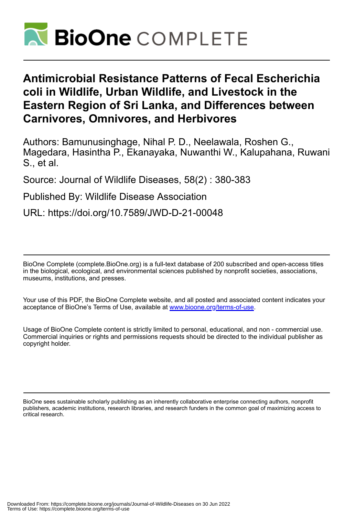

## **Antimicrobial Resistance Patterns of Fecal Escherichia coli in Wildlife, Urban Wildlife, and Livestock in the Eastern Region of Sri Lanka, and Differences between Carnivores, Omnivores, and Herbivores**

Authors: Bamunusinghage, Nihal P. D., Neelawala, Roshen G., Magedara, Hasintha P., Ekanayaka, Nuwanthi W., Kalupahana, Ruwani S., et al.

Source: Journal of Wildlife Diseases, 58(2) : 380-383

Published By: Wildlife Disease Association

URL: https://doi.org/10.7589/JWD-D-21-00048

BioOne Complete (complete.BioOne.org) is a full-text database of 200 subscribed and open-access titles in the biological, ecological, and environmental sciences published by nonprofit societies, associations, museums, institutions, and presses.

Your use of this PDF, the BioOne Complete website, and all posted and associated content indicates your acceptance of BioOne's Terms of Use, available at www.bioone.org/terms-of-use.

Usage of BioOne Complete content is strictly limited to personal, educational, and non - commercial use. Commercial inquiries or rights and permissions requests should be directed to the individual publisher as copyright holder.

BioOne sees sustainable scholarly publishing as an inherently collaborative enterprise connecting authors, nonprofit publishers, academic institutions, research libraries, and research funders in the common goal of maximizing access to critical research.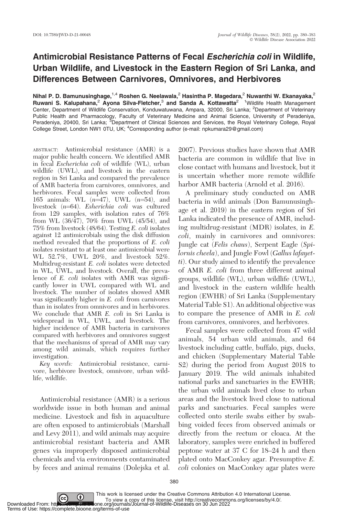## Antimicrobial Resistance Patterns of Fecal Escherichia coli in Wildlife, Urban Wildlife, and Livestock in the Eastern Region of Sri Lanka, and Differences Between Carnivores, Omnivores, and Herbivores

Nihal P. D. Bamunusinghage,<sup>1,4</sup> Roshen G. Neelawala,<sup>2</sup> Hasintha P. Magedara,<sup>2</sup> Nuwanthi W. Ekanayaka,<sup>2</sup> Ruwani S. Kalupahana,<sup>2</sup> Ayona Silva-Fletcher,<sup>3</sup> and Sanda A. Kottawatta<sup>2 1</sup> Wildlife Health Management Center, Department of Wildlife Conservation, Konduwatuwana, Ampara, 32000, Sri Lanka; <sup>2</sup>Department of Veterinary Public Health and Pharmacology, Faculty of Veterinary Medicine and Animal Science, University of Peradeniya,<br>Peradeniya, 20400, Sri Lanka; <sup>3</sup>Department of Clinical Sciences and Services, the Royal Veterinary College, Roya College Street, London NW1 0TU, UK; <sup>4</sup>Corresponding author (e-mail: npkumara29@gmail.com)

ABSTRACT: Antimicrobial resistance (AMR) is a major public health concern. We identified AMR in fecal Escherichia coli of wildlife (WL), urban wildlife (UWL), and livestock in the eastern region in Sri Lanka and compared the prevalence of AMR bacteria from carnivores, omnivores, and herbivores. Fecal samples were collected from 165 animals: WL  $(n=47)$ , UWL  $(n=54)$ , and livestock  $(n=64)$ . Esherichia coli was cultured from 129 samples, with isolation rates of 76% from WL  $(36/47)$ , 70% from UWL  $(45/54)$ , and 75% from livestock (48/64). Testing E. coli isolates against 12 antimicrobials using the disk diffusion method revealed that the proportions of E. coli isolates resistant to at least one antimicrobial were WL 52.7%, UWL 20%, and livestock 52%. Multidrug-resistant E. coli isolates were detected in WL, UWL, and livestock. Overall, the prevalence of E. coli isolates with AMR was significantly lower in UWL compared with WL and livestock. The number of isolates showed AMR was significantly higher in E. coli from carnivores than in isolates from omnivores and in herbivores. We conclude that AMR E. coli in Sri Lanka is widespread in WL, UWL, and livestock. The higher incidence of AMR bacteria in carnivores compared with herbivores and omnivores suggest that the mechanisms of spread of AMR may vary among wild animals, which requires further investigation.

Key words: Antimicrobial resistance, carnivore, herbivore livestock, omnivore, urban wildlife, wildlife.

Antimicrobial resistance (AMR) is a serious worldwide issue in both human and animal medicine. Livestock and fish in aquaculture are often exposed to antimicrobials (Marshall and Levy 2011), and wild animals may acquire antimicrobial resistant bacteria and AMR genes via improperly disposed antimicrobial chemicals and via environments contaminated by feces and animal remains (Dolejska et al. 2007). Previous studies have shown that AMR bacteria are common in wildlife that live in close contact with humans and livestock, but it is uncertain whether more remote wildlife harbor AMR bacteria (Arnold et al. 2016).

A preliminary study conducted on AMR bacteria in wild animals (Don Bamunusinghage et al. 2019) in the eastern region of Sri Lanka indicated the presence of AMR, including multidrug-resistant (MDR) isolates, in E. coli, mainly in carnivores and omnivores: Jungle cat (Felis chaus), Serpent Eagle (Spilornis cheela), and Jungle Fowl (Gallus lafayetti). Our study aimed to identify the prevalence of AMR E. coli from three different animal groups, wildlife (WL), urban wildlife (UWL), and livestock in the eastern wildlife health region (EWHR) of Sri Lanka (Supplementary Material Table S1). An additional objective was to compare the presence of AMR in E. coli from carnivores, omnivores, and herbivores.

Fecal samples were collected from 47 wild animals, 54 urban wild animals, and 64 livestock including cattle, buffalo, pigs, ducks, and chicken (Supplementary Material Table S2) during the period from August 2018 to January 2019. The wild animals inhabited national parks and sanctuaries in the EWHR; the urban wild animals lived close to urban areas and the livestock lived close to national parks and sanctuaries. Fecal samples were collected onto sterile swabs either by swabbing voided feces from observed animals or directly from the rectum or cloaca. At the laboratory, samples were enriched in buffered peptone water at 37 C for 18–24 h and then plated onto MacConkey agar. Presumptive E. coli colonies on MacConkey agar plates were

380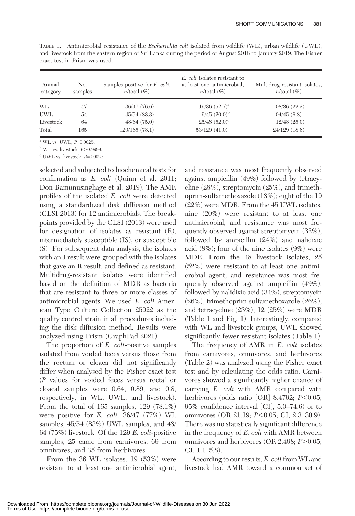| Animal<br>category | No.<br>samples | Samples positive for <i>E. coli</i> ,<br>$n$ /total $(\%)$ | E. coli isolates resistant to<br>at least one antimicrobial.<br>$n$ /total $(\%)$ | Multidrug-resistant isolates,<br>$n$ /total $(\%)$ |
|--------------------|----------------|------------------------------------------------------------|-----------------------------------------------------------------------------------|----------------------------------------------------|
| WL                 | 47             | 36/47(76.6)                                                | $19/36$ $(52.7)^a$                                                                | 08/36(22.2)                                        |
| <b>UWL</b>         | 54             | 45/54(83.3)                                                | $9/45$ $(20.0)^{b}$                                                               | 04/45(8.8)                                         |
| Livestock          | 64             | 48/64(75.0)                                                | $25/48$ $(52.0)^{\circ}$                                                          | $12/48$ $(25.0)$                                   |
| Total              | 165            | 129/165 (78.1)                                             | 53/129(41.0)                                                                      | 24/129 (18.6)                                      |

TABLE 1. Antimicrobial resistance of the Escherichia coli isolated from wildlife (WL), urban wildlife (UWL), and livestock from the eastern region of Sri Lanka during the period of August 2018 to January 2019. The Fisher exact test in Prism was used.

 $^{\rm a}$  WL vs. UWL,  $P=0.0025$ .

 $b$  WL vs. livestock,  $P > 0.9999$ .

 $c$  UWL vs. livestock,  $P=0.0023$ .

selected and subjected to biochemical tests for confirmation as E. coli (Quinn et al. 2011; Don Bamunusinghage et al. 2019). The AMR profiles of the isolated E. coli were detected using a standardized disk diffusion method (CLSI 2013) for 12 antimicrobials. The breakpoints provided by the CLSI (2013) were used for designation of isolates as resistant (R), intermediately susceptible (IS), or susceptible (S). For subsequent data analysis, the isolates with an I result were grouped with the isolates that gave an R result, and defined as resistant. Multidrug-resistant isolates were identified based on the definition of MDR as bacteria that are resistant to three or more classes of antimicrobial agents. We used E. coli American Type Culture Collection 25922 as the quality control strain in all procedures including the disk diffusion method. Results were analyzed using Prism (GraphPad 2021).

The proportion of E. coli-positive samples isolated from voided feces versus those from the rectum or cloaca did not significantly differ when analysed by the Fisher exact test (P values for voided feces versus rectal or cloacal samples were 0.64, 0.89, and 0.8, respectively, in WL, UWL, and livestock). From the total of 165 samples, 129 (78.1%) were positive for E. coli: 36/47 (77%) WL samples, 45/54 (83%) UWL samples, and 48/ 64 (75%) livestock. Of the 129 E. coli-positive samples, 25 came from carnivores, 69 from omnivores, and 35 from herbivores.

From the 36 WL isolates, 19 (53%) were resistant to at least one antimicrobial agent, and resistance was most frequently observed against ampicillin (49%) followed by tetracycline (28%), streptomycin (25%), and trimethoprim-sulfamethoxazole (18%); eight of the 19 (22%) were MDR. From the 45 UWL isolates, nine (20%) were resistant to at least one antimicrobial, and resistance was most frequently observed against streptomycin (32%), followed by ampicillin (24%) and nalidixic acid (8%); four of the nine isolates (9%) were MDR. From the 48 livestock isolates, 25 (52%) were resistant to at least one antimicrobial agent, and resistance was most frequently observed against ampicillin (49%), followed by nalidixic acid (34%), streptomycin (26%), trimethoprim-sulfamethoxazole (26%), and tetracycline (23%); 12 (25%) were MDR (Table 1 and Fig. 1). Interestingly, compared with WL and livestock groups, UWL showed significantly fewer resistant isolates (Table 1).

The frequency of AMR in E. coli isolates from carnivores, omnivores, and herbivores (Table 2) was analyzed using the Fisher exact test and by calculating the odds ratio. Carnivores showed a significantly higher chance of carrying E. coli with AMR compared with herbivores (odds ratio [OR] 8.4792;  $P<0.05$ ; 95% confidence interval [CI], 5.0–74.6) or to omnivores (OR 21.19; *P*<0.05; CI, 2.3–30.9). There was no statistically significant difference in the frequency of E. coli with AMR between omnivores and herbivores (OR 2.498;  $P > 0.05$ ; CI, 1.1–5.8).

According to our results, E. coli from WL and livestock had AMR toward a common set of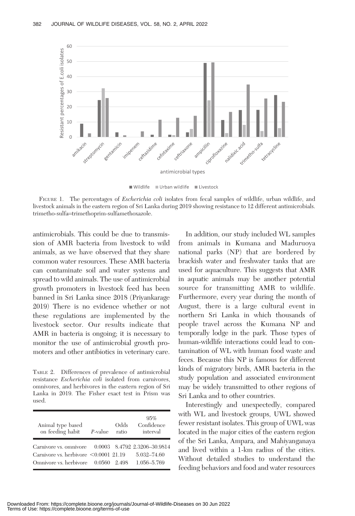

Wildlife Urban wildlife Livestock

FIGURE 1. The percentages of *Escherichia coli* isolates from fecal samples of wildlife, urban wildlife, and livestock animals in the eastern region of Sri Lanka during 2019 showing resistance to 12 different antimicrobials. trimetho-sulfa=trimethoprim-sulfamethoxazole.

antimicrobials. This could be due to transmission of AMR bacteria from livestock to wild animals, as we have observed that they share common water resources. These AMR bacteria can contaminate soil and water systems and spread to wild animals. The use of antimicrobial growth promoters in livestock feed has been banned in Sri Lanka since 2018 (Priyankarage 2019) There is no evidence whether or not these regulations are implemented by the livestock sector. Our results indicate that AMR in bacteria is ongoing; it is necessary to monitor the use of antimicrobial growth promoters and other antibiotics in veterinary care.

TABLE 2. Differences of prevalence of antimicrobial resistance Escherichia coli isolated from carnivores, omnivores, and herbivores in the eastern region of Sri Lanka in 2019. The Fisher exact test in Prism was used.

| Animal type based<br>on feeding habit                                                                                                     | P-value | Odds<br>ratio | 95%<br>Confidence<br>interval |
|-------------------------------------------------------------------------------------------------------------------------------------------|---------|---------------|-------------------------------|
| Carnivore vs. omnivore 0.0003 8.4792 2.3206-30.9814<br>Carnivore vs. herbivore $\leq 0.0001$ 21.19<br>Omnivore vs. herbivore 0.0560 2.498 |         |               | 5.032-74.60<br>1.056-5.769    |

In addition, our study included WL samples from animals in Kumana and Maduruoya national parks (NP) that are bordered by brackish water and freshwater tanks that are used for aquaculture. This suggests that AMR in aquatic animals may be another potential source for transmitting AMR to wildlife. Furthermore, every year during the month of August, there is a large cultural event in northern Sri Lanka in which thousands of people travel across the Kumana NP and temporally lodge in the park. Those types of human-wildlife interactions could lead to contamination of WL with human food waste and feces. Because this NP is famous for different kinds of migratory birds, AMR bacteria in the study population and associated environment may be widely transmitted to other regions of Sri Lanka and to other countries.

Interestingly and unexpectedly, compared with WL and livestock groups, UWL showed fewer resistant isolates. This group of UWL was located in the major cities of the eastern region of the Sri Lanka, Ampara, and Mahiyanganaya and lived within a 1-km radius of the cities. Without detailed studies to understand the feeding behaviors and food and water resources